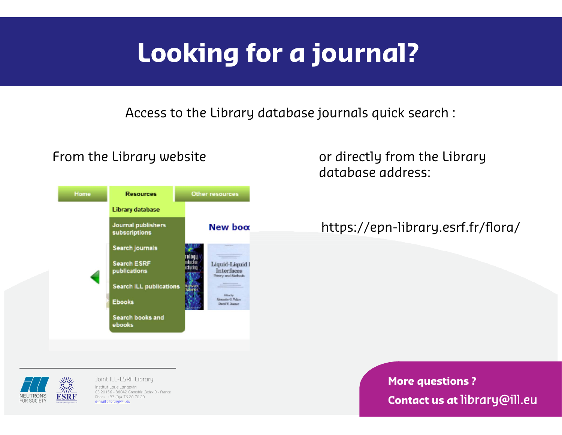Access to the Library database journal<sup>s</sup> quick search :



From the Library website **Example 2** or directly from the Library database address:

#### https://epn-library.esrf.fr/flora/

**ESRF** 

Joint ILL-ESRF Library Institut Laue Langevin CS 20156 - 38042 Grenoble Cedex 9 - France Phone: +33 (0)4 76 20 70 20 e-mail : library@ill.eu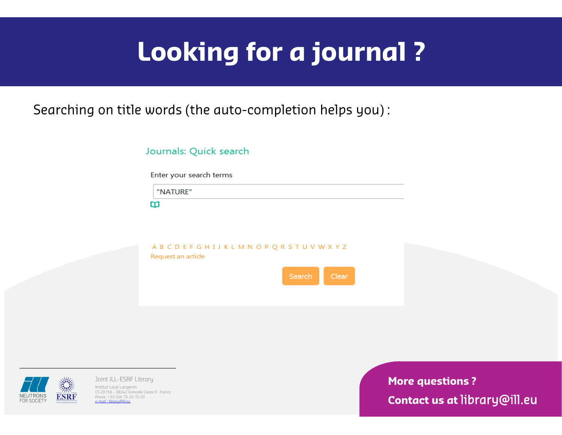Searching on title words (the auto-completion helps you) :

| Journals: Quick search |  |  |
|------------------------|--|--|

Enter your search terms

"NATURE"

m

ABCDEFGHIJKLMNOPQRSTUVWXYZ Request an article





Joint ILL-ESRF Library Institut Laue Langevin CS 20156 - 38042 Grenoble Cedex 9 - France Phone: +33 (0)4 76 20 70 20  $email$  : library@ill.eu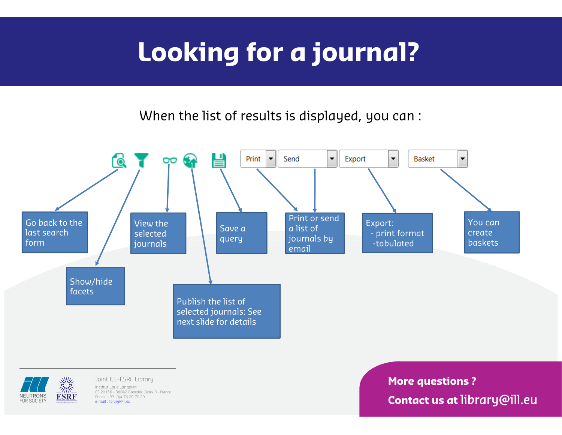When the list of results is displayed, you can :





Joint ILL-ESRF Library Institut Laue Langevin CS 20156 - 38042 Grenoble Cedex 9 - France Phone: +33 (0)4 76 20 70 20 e-mail : library@ill.eu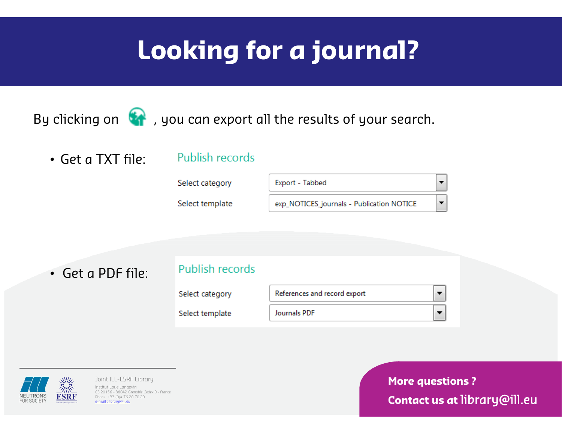By clicking on  $\bigcirc$ , you can export all the results of your search.

• Get a TXT file:

#### Publish records



• Get a PDF file:

#### Publish records

Select category

Select template





Joint ILL-ESRF Library Institut Laue Langevin CS 20156 - 38042 Grenoble Cedex 9 - France Phone: +33 (0)4 76 20 70 20 e-mail : library@ill.eu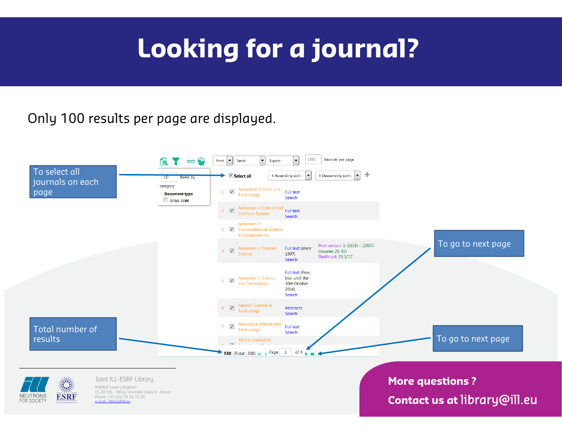### Only 100 results per page are displayed.





Joint ILL-ESRF Library Institut Laue Langevin CS 20156 - 38042 Grenoble Cedex 9 - France Phone: +33 (0)4 76 20 70 20 e-mail : library@ill.eu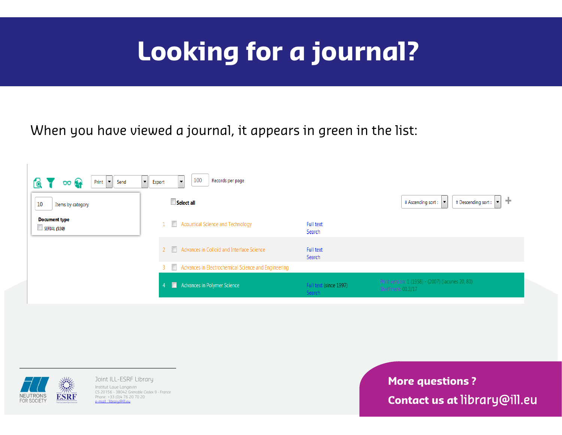When you have viewed a journal, it appears in green in the list:





Joint ILL-ESRF Library Institut Laue Langevin CS 20156 - 38042 Grenoble Cedex 9 - France Phone: +33 (0)4 76 20 70 20 e-mail : library@ill.eu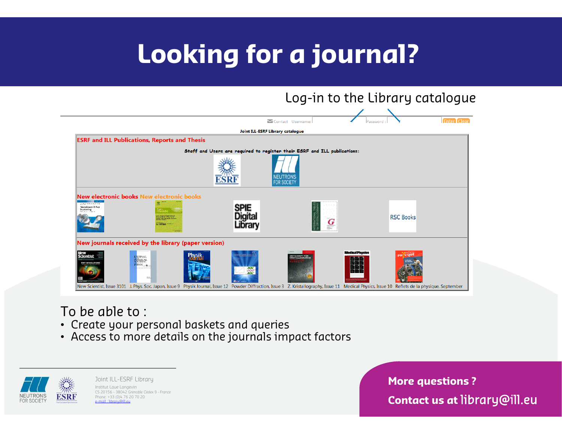

#### To be able to :

- Create your personal baskets and queries
- Access to more details on the journals impact factors



Joint ILL-ESRF Library Institut Laue Langevin CS 20156 - 38042 Grenoble Cedex 9 - France Phone: +33 (0)4 76 20 70 20 e-mail : library@ill.eu